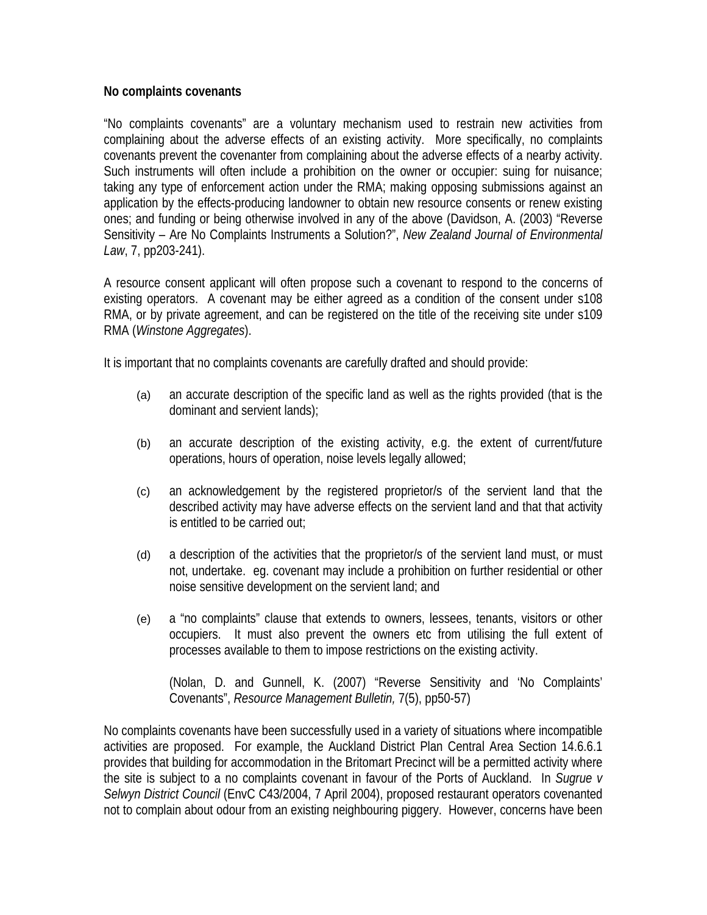## **No complaints covenants**

"No complaints covenants" are a voluntary mechanism used to restrain new activities from complaining about the adverse effects of an existing activity. More specifically, no complaints covenants prevent the covenanter from complaining about the adverse effects of a nearby activity. Such instruments will often include a prohibition on the owner or occupier: suing for nuisance; taking any type of enforcement action under the RMA; making opposing submissions against an application by the effects-producing landowner to obtain new resource consents or renew existing ones; and funding or being otherwise involved in any of the above (Davidson, A. (2003) "Reverse Sensitivity – Are No Complaints Instruments a Solution?", *New Zealand Journal of Environmental Law*, 7, pp203-241).

A resource consent applicant will often propose such a covenant to respond to the concerns of existing operators. A covenant may be either agreed as a condition of the consent under s108 RMA, or by private agreement, and can be registered on the title of the receiving site under s109 RMA (*Winstone Aggregates*).

It is important that no complaints covenants are carefully drafted and should provide:

- (a) an accurate description of the specific land as well as the rights provided (that is the dominant and servient lands);
- (b) an accurate description of the existing activity, e.g. the extent of current/future operations, hours of operation, noise levels legally allowed;
- (c) an acknowledgement by the registered proprietor/s of the servient land that the described activity may have adverse effects on the servient land and that that activity is entitled to be carried out;
- (d) a description of the activities that the proprietor/s of the servient land must, or must not, undertake. eg. covenant may include a prohibition on further residential or other noise sensitive development on the servient land; and
- (e) a "no complaints" clause that extends to owners, lessees, tenants, visitors or other occupiers. It must also prevent the owners etc from utilising the full extent of processes available to them to impose restrictions on the existing activity.

(Nolan, D. and Gunnell, K. (2007) "Reverse Sensitivity and 'No Complaints' Covenants", *Resource Management Bulletin,* 7(5), pp50-57)

No complaints covenants have been successfully used in a variety of situations where incompatible activities are proposed. For example, the Auckland District Plan Central Area Section 14.6.6.1 provides that building for accommodation in the Britomart Precinct will be a permitted activity where the site is subject to a no complaints covenant in favour of the Ports of Auckland. In *Sugrue v Selwyn District Council* (EnvC C43/2004, 7 April 2004), proposed restaurant operators covenanted not to complain about odour from an existing neighbouring piggery. However, concerns have been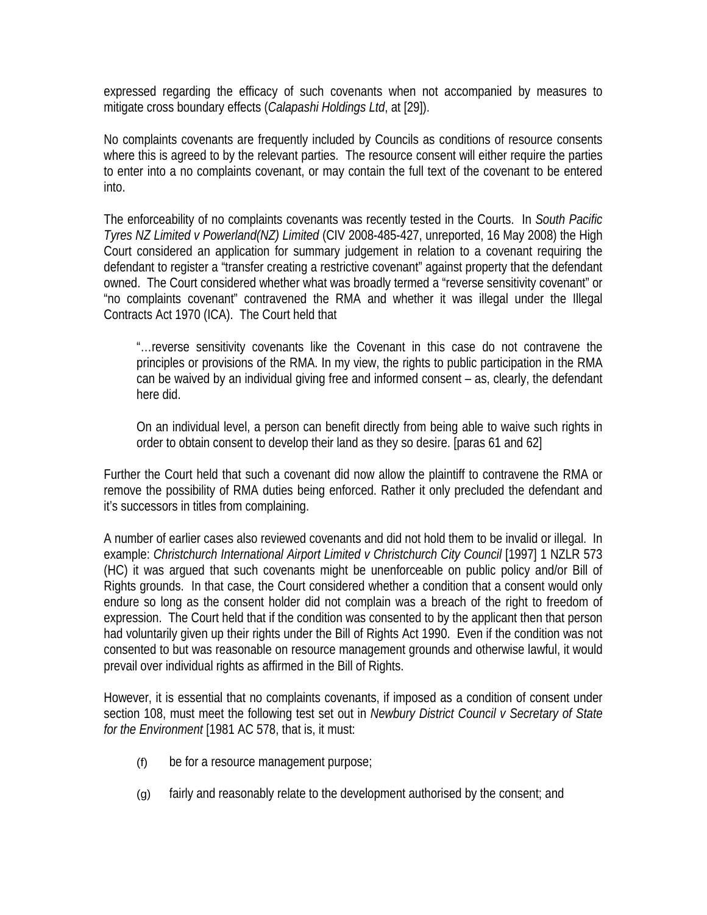expressed regarding the efficacy of such covenants when not accompanied by measures to mitigate cross boundary effects (*Calapashi Holdings Ltd*, at [29]).

No complaints covenants are frequently included by Councils as conditions of resource consents where this is agreed to by the relevant parties. The resource consent will either require the parties to enter into a no complaints covenant, or may contain the full text of the covenant to be entered into.

The enforceability of no complaints covenants was recently tested in the Courts. In *South Pacific Tyres NZ Limited v Powerland(NZ) Limited* (CIV 2008-485-427, unreported, 16 May 2008) the High Court considered an application for summary judgement in relation to a covenant requiring the defendant to register a "transfer creating a restrictive covenant" against property that the defendant owned. The Court considered whether what was broadly termed a "reverse sensitivity covenant" or "no complaints covenant" contravened the RMA and whether it was illegal under the Illegal Contracts Act 1970 (ICA). The Court held that

"…reverse sensitivity covenants like the Covenant in this case do not contravene the principles or provisions of the RMA. In my view, the rights to public participation in the RMA can be waived by an individual giving free and informed consent – as, clearly, the defendant here did.

On an individual level, a person can benefit directly from being able to waive such rights in order to obtain consent to develop their land as they so desire. [paras 61 and 62]

Further the Court held that such a covenant did now allow the plaintiff to contravene the RMA or remove the possibility of RMA duties being enforced. Rather it only precluded the defendant and it's successors in titles from complaining.

A number of earlier cases also reviewed covenants and did not hold them to be invalid or illegal. In example: *Christchurch International Airport Limited v Christchurch City Council* [1997] 1 NZLR 573 (HC) it was argued that such covenants might be unenforceable on public policy and/or Bill of Rights grounds. In that case, the Court considered whether a condition that a consent would only endure so long as the consent holder did not complain was a breach of the right to freedom of expression. The Court held that if the condition was consented to by the applicant then that person had voluntarily given up their rights under the Bill of Rights Act 1990. Even if the condition was not consented to but was reasonable on resource management grounds and otherwise lawful, it would prevail over individual rights as affirmed in the Bill of Rights.

However, it is essential that no complaints covenants, if imposed as a condition of consent under section 108, must meet the following test set out in *Newbury District Council v Secretary of State for the Environment* [1981 AC 578, that is, it must:

- (f) be for a resource management purpose;
- (g) fairly and reasonably relate to the development authorised by the consent; and